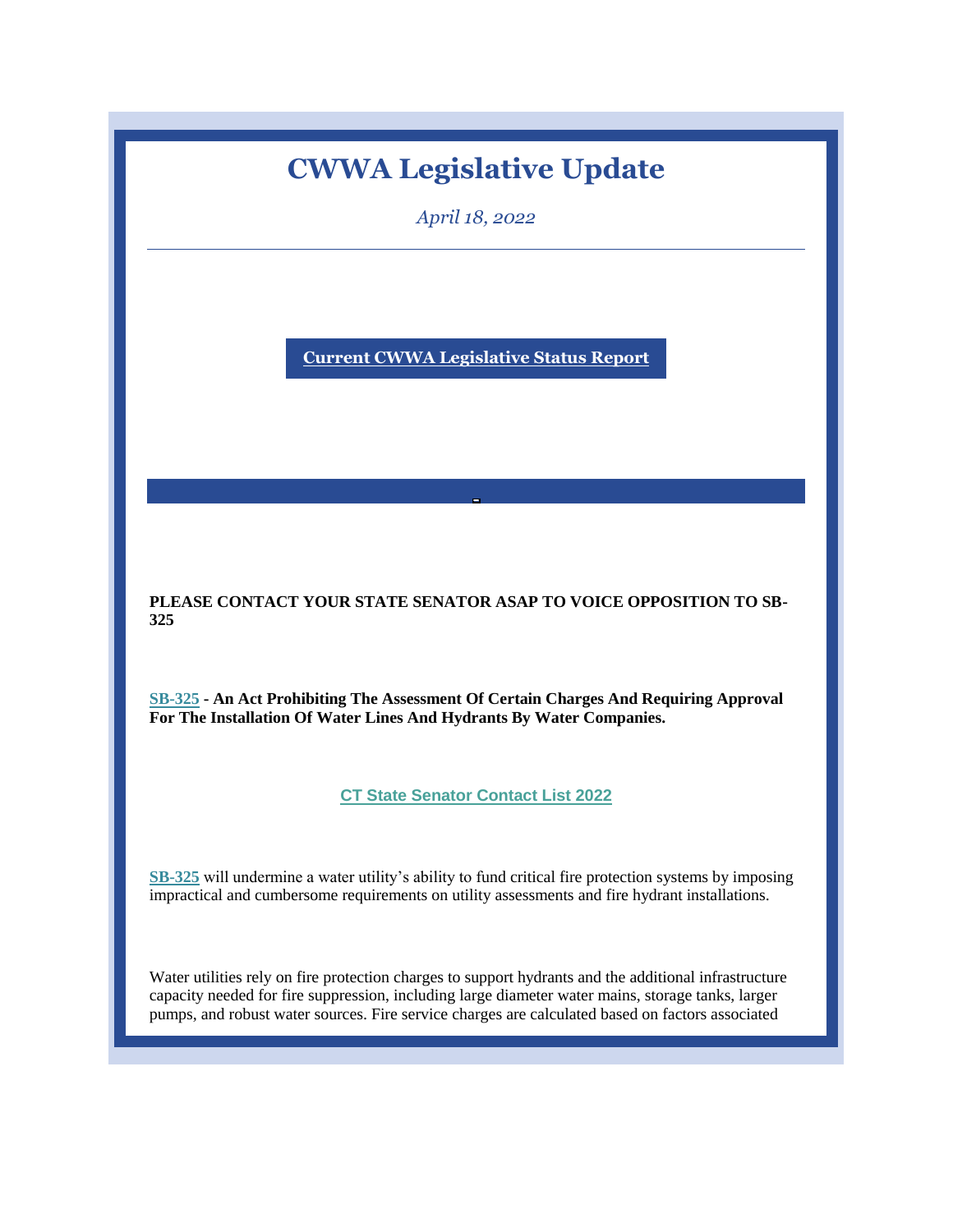# **CWWA Legislative Update**

*April 18, 2022*

**[Current CWWA Legislative Status Report](https://r20.rs6.net/tn.jsp?f=0011iOCOEzDi1mIbMm2AGjaF2FoJzhYkxweqel0vpSa0rd771ZTlajjv7LykXJgn4Bo4238Wl9lxqeGVFbmI2K_NFlm4drr1wl9iSgFYDa4m_RZYrFTelWcscU2ahJrFsPgl0KYx-Hlo6W4Xn1LRp_Lffs9Cw3sKN2AVymNhMJAE9xxVOoHav2inJAy1BBK4oXNLxtqrxmH2Lly-BlGD2M4xxXLX8qwp1fdSKM63uo2H1SrO-9gYTzv6g==&c=v0VsC1D_KXUnNk2mO0krSx1TjFVKjiz6cd8-xEiWFcNUjCFHHPCchQ==&ch=oC2hBwOHDT20vkn1C1YioIEqKUQvXWxy_4jkDs8rlEYzLTVb0m79mQ==)**

**PLEASE CONTACT YOUR STATE SENATOR ASAP TO VOICE OPPOSITION TO SB-325** 

**[SB-325](https://r20.rs6.net/tn.jsp?f=0011iOCOEzDi1mIbMm2AGjaF2FoJzhYkxweqel0vpSa0rd771ZTlajjv_o6PY_7ZTQkh6oiV1Fi3Iv4XjYwOZnnzFYqYpflsfOnGl8YdsKVMg8NsWak6hU3H77F52oKgvNJ01NiptO37e06lzQ8AWyBkh00Uw9Sv4t6U-bA51UKda3L1waM8bNrdrW2QsiL5PZa9zx3eeYw9D3W1gxO3Oo_F8Ys-HSUzL1VP5Hrl_oY2R-CoRrGW9i0-CQ7M0DPeE4rGGSs-4APSFk0wIZcLlTHUw==&c=v0VsC1D_KXUnNk2mO0krSx1TjFVKjiz6cd8-xEiWFcNUjCFHHPCchQ==&ch=oC2hBwOHDT20vkn1C1YioIEqKUQvXWxy_4jkDs8rlEYzLTVb0m79mQ==) - An Act Prohibiting The Assessment Of Certain Charges And Requiring Approval For The Installation Of Water Lines And Hydrants By Water Companies.**

**[CT State Senator Contact List 2022](https://r20.rs6.net/tn.jsp?f=0011iOCOEzDi1mIbMm2AGjaF2FoJzhYkxweqel0vpSa0rd771ZTlajjv7LykXJgn4BoY83VYwVagjCVntWQ0MnejiRhZ4FaB3mqYZR6utIImzHdQ0uYWKhXDo-lIZnahvqLx5HgKISZM1NT2m7SXjHcE8y6mTSMSU-SiUz2thhCcPRMoZPAOis60TpL--t6Z0yvDRsq5X4xalhIYoyft0W4qzwrLMw5ZyFGak6KHFeoU24zGZPnfcYI2Q==&c=v0VsC1D_KXUnNk2mO0krSx1TjFVKjiz6cd8-xEiWFcNUjCFHHPCchQ==&ch=oC2hBwOHDT20vkn1C1YioIEqKUQvXWxy_4jkDs8rlEYzLTVb0m79mQ==)**

**[SB-325](https://r20.rs6.net/tn.jsp?f=0011iOCOEzDi1mIbMm2AGjaF2FoJzhYkxweqel0vpSa0rd771ZTlajjv_o6PY_7ZTQkh6oiV1Fi3Iv4XjYwOZnnzFYqYpflsfOnGl8YdsKVMg8NsWak6hU3H77F52oKgvNJ01NiptO37e06lzQ8AWyBkh00Uw9Sv4t6U-bA51UKda3L1waM8bNrdrW2QsiL5PZa9zx3eeYw9D3W1gxO3Oo_F8Ys-HSUzL1VP5Hrl_oY2R-CoRrGW9i0-CQ7M0DPeE4rGGSs-4APSFk0wIZcLlTHUw==&c=v0VsC1D_KXUnNk2mO0krSx1TjFVKjiz6cd8-xEiWFcNUjCFHHPCchQ==&ch=oC2hBwOHDT20vkn1C1YioIEqKUQvXWxy_4jkDs8rlEYzLTVb0m79mQ==)** will undermine a water utility's ability to fund critical fire protection systems by imposing impractical and cumbersome requirements on utility assessments and fire hydrant installations.

Water utilities rely on fire protection charges to support hydrants and the additional infrastructure capacity needed for fire suppression, including large diameter water mains, storage tanks, larger pumps, and robust water sources. Fire service charges are calculated based on factors associated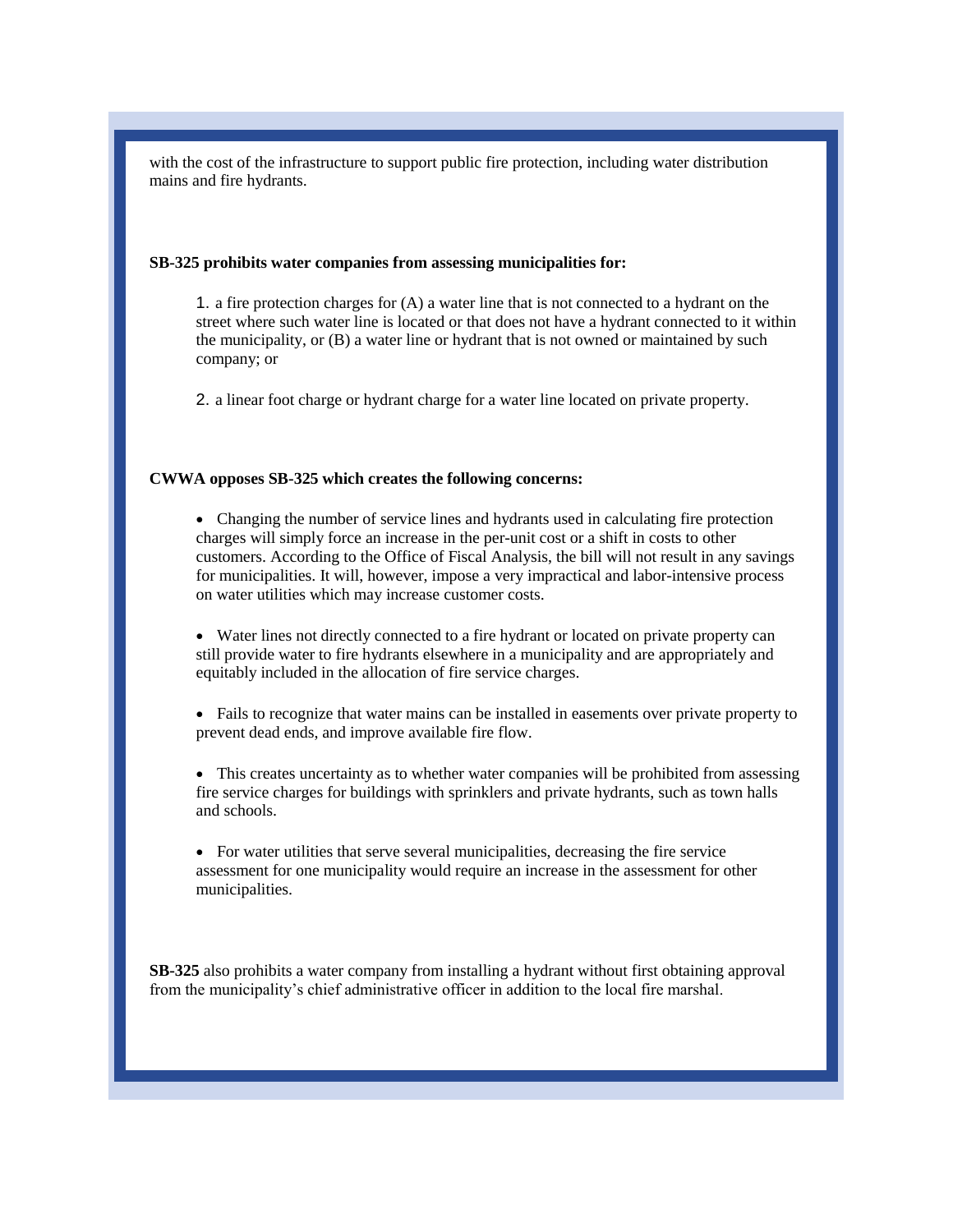with the cost of the infrastructure to support public fire protection, including water distribution mains and fire hydrants.

#### **SB-325 prohibits water companies from assessing municipalities for:**

1. a fire protection charges for (A) a water line that is not connected to a hydrant on the street where such water line is located or that does not have a hydrant connected to it within the municipality, or (B) a water line or hydrant that is not owned or maintained by such company; or

2. a linear foot charge or hydrant charge for a water line located on private property.

### **CWWA opposes SB-325 which creates the following concerns:**

 Changing the number of service lines and hydrants used in calculating fire protection charges will simply force an increase in the per-unit cost or a shift in costs to other customers. According to the Office of Fiscal Analysis, the bill will not result in any savings for municipalities. It will, however, impose a very impractical and labor-intensive process on water utilities which may increase customer costs.

 Water lines not directly connected to a fire hydrant or located on private property can still provide water to fire hydrants elsewhere in a municipality and are appropriately and equitably included in the allocation of fire service charges.

 Fails to recognize that water mains can be installed in easements over private property to prevent dead ends, and improve available fire flow.

• This creates uncertainty as to whether water companies will be prohibited from assessing fire service charges for buildings with sprinklers and private hydrants, such as town halls and schools.

 For water utilities that serve several municipalities, decreasing the fire service assessment for one municipality would require an increase in the assessment for other municipalities.

**SB-325** also prohibits a water company from installing a hydrant without first obtaining approval from the municipality's chief administrative officer in addition to the local fire marshal.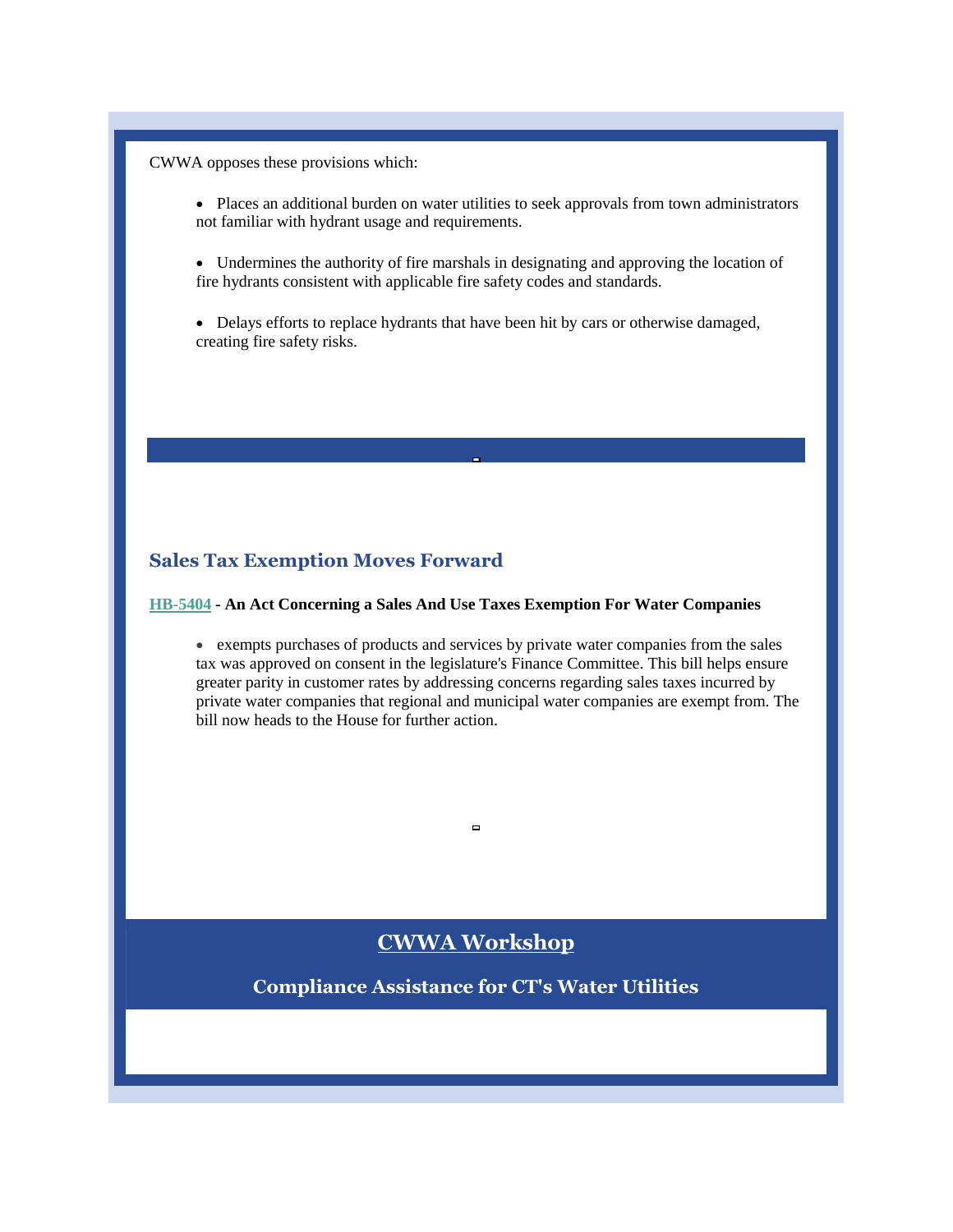CWWA opposes these provisions which:

- Places an additional burden on water utilities to seek approvals from town administrators not familiar with hydrant usage and requirements.
- Undermines the authority of fire marshals in designating and approving the location of fire hydrants consistent with applicable fire safety codes and standards.
- Delays efforts to replace hydrants that have been hit by cars or otherwise damaged, creating fire safety risks.

## **Sales Tax Exemption Moves Forward**

## **[HB-5404](https://r20.rs6.net/tn.jsp?f=0011iOCOEzDi1mIbMm2AGjaF2FoJzhYkxweqel0vpSa0rd771ZTlajjv7LykXJgn4BoqcrACIYtg5mYGAAB-us1_mHjoUec1uk1uhCW9Ps71cVL6XXhatGxJOrUOA-6di1JJXZtK0aizEf1pznaLugtWdi_SkhP8gDniz6ccnaZiZkKOd9F1lK2Ud2L70MXe09Nzulrum-cBjmCpLn7S5sAQ3HyVXCsIBGXTOxil6_EE2BjMB1Qyun8D1t41rd0G6cp8Pmhc20Z34GYaPYrfeNMXw==&c=v0VsC1D_KXUnNk2mO0krSx1TjFVKjiz6cd8-xEiWFcNUjCFHHPCchQ==&ch=oC2hBwOHDT20vkn1C1YioIEqKUQvXWxy_4jkDs8rlEYzLTVb0m79mQ==) - An Act Concerning a Sales And Use Taxes Exemption For Water Companies**

 exempts purchases of products and services by private water companies from the sales tax was approved on consent in the legislature's Finance Committee. This bill helps ensure greater parity in customer rates by addressing concerns regarding sales taxes incurred by private water companies that regional and municipal water companies are exempt from. The bill now heads to the House for further action.

## **CWWA Workshop**

 $\Box$ 

**Compliance Assistance for CT's Water Utilities**